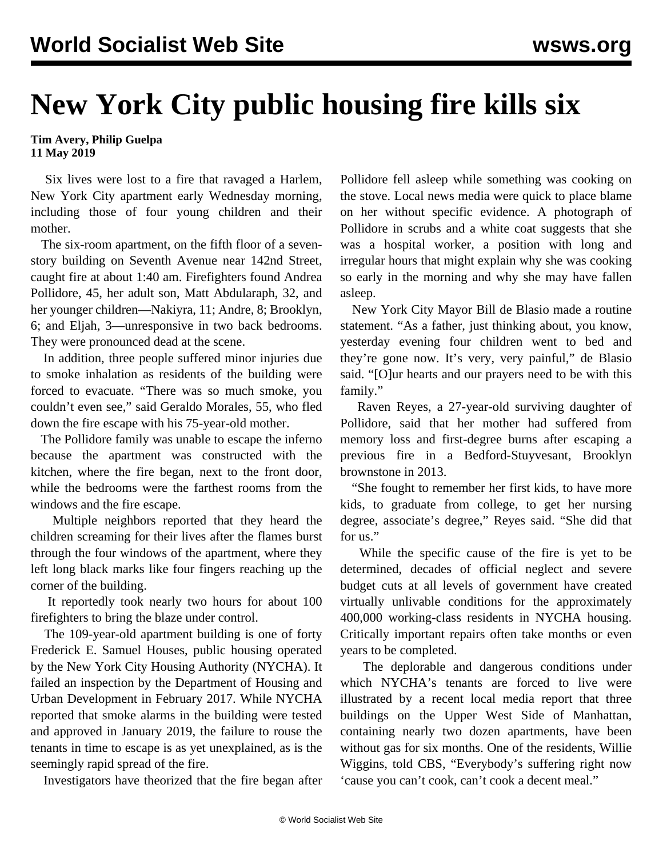## **New York City public housing fire kills six**

**Tim Avery, Philip Guelpa 11 May 2019**

 Six lives were lost to a fire that ravaged a Harlem, New York City apartment early Wednesday morning, including those of four young children and their mother.

 The six-room apartment, on the fifth floor of a sevenstory building on Seventh Avenue near 142nd Street, caught fire at about 1:40 am. Firefighters found Andrea Pollidore, 45, her adult son, Matt Abdularaph, 32, and her younger children—Nakiyra, 11; Andre, 8; Brooklyn, 6; and Eljah, 3—unresponsive in two back bedrooms. They were pronounced dead at the scene.

 In addition, three people suffered minor injuries due to smoke inhalation as residents of the building were forced to evacuate. "There was so much smoke, you couldn't even see," said Geraldo Morales, 55, who fled down the fire escape with his 75-year-old mother.

 The Pollidore family was unable to escape the inferno because the apartment was constructed with the kitchen, where the fire began, next to the front door, while the bedrooms were the farthest rooms from the windows and the fire escape.

 Multiple neighbors reported that they heard the children screaming for their lives after the flames burst through the four windows of the apartment, where they left long black marks like four fingers reaching up the corner of the building.

 It reportedly took nearly two hours for about 100 firefighters to bring the blaze under control.

 The 109-year-old apartment building is one of forty Frederick E. Samuel Houses, public housing operated by the New York City Housing Authority (NYCHA). It failed an inspection by the Department of Housing and Urban Development in February 2017. While NYCHA reported that smoke alarms in the building were tested and approved in January 2019, the failure to rouse the tenants in time to escape is as yet unexplained, as is the seemingly rapid spread of the fire.

Investigators have theorized that the fire began after

Pollidore fell asleep while something was cooking on the stove. Local news media were quick to place blame on her without specific evidence. A photograph of Pollidore in scrubs and a white coat suggests that she was a hospital worker, a position with long and irregular hours that might explain why she was cooking so early in the morning and why she may have fallen asleep.

 New York City Mayor Bill de Blasio made a routine statement. "As a father, just thinking about, you know, yesterday evening four children went to bed and they're gone now. It's very, very painful," de Blasio said. "[O]ur hearts and our prayers need to be with this family."

 Raven Reyes, a 27-year-old surviving daughter of Pollidore, said that her mother had suffered from memory loss and first-degree burns after escaping a previous fire in a Bedford-Stuyvesant, Brooklyn brownstone in 2013.

 "She fought to remember her first kids, to have more kids, to graduate from college, to get her nursing degree, associate's degree," Reyes said. "She did that for us."

 While the specific cause of the fire is yet to be determined, decades of official neglect and severe budget cuts at all levels of government have created virtually unlivable conditions for the approximately 400,000 working-class residents in NYCHA housing. Critically important repairs often take months or even years to be completed.

 The deplorable and dangerous conditions under which NYCHA's tenants are forced to live were illustrated by a recent local media report that three buildings on the Upper West Side of Manhattan, containing nearly two dozen apartments, have been without gas for six months. One of the residents, Willie Wiggins, told CBS, "Everybody's suffering right now 'cause you can't cook, can't cook a decent meal."